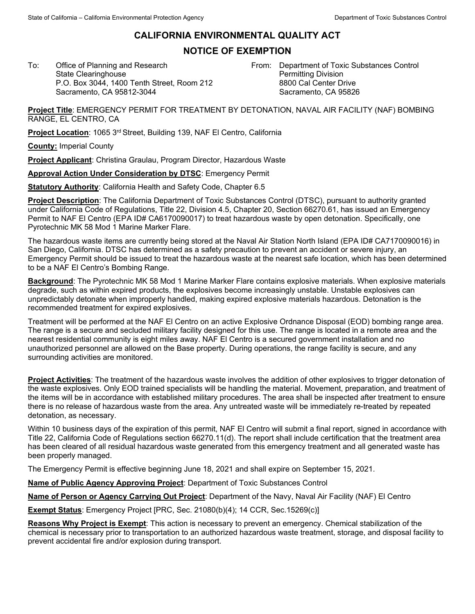## **CALIFORNIA ENVIRONMENTAL QUALITY ACT**

## **NOTICE OF EXEMPTION**

To: Office of Planning and Research State Clearinghouse P.O. Box 3044, 1400 Tenth Street, Room 212 Sacramento, CA 95812-3044

From: Department of Toxic Substances Control Permitting Division 8800 Cal Center Drive Sacramento, CA 95826

**Project Title**: EMERGENCY PERMIT FOR TREATMENT BY DETONATION, NAVAL AIR FACILITY (NAF) BOMBING RANGE, EL CENTRO, CA

**Project Location:** 1065 3<sup>rd</sup> Street, Building 139, NAF El Centro, California

**County:** Imperial County

**Project Applicant**: Christina Graulau, Program Director, Hazardous Waste

**Approval Action Under Consideration by DTSC**: Emergency Permit

**Statutory Authority**: California Health and Safety Code, Chapter 6.5

**Project Description**: The California Department of Toxic Substances Control (DTSC), pursuant to authority granted under California Code of Regulations, Title 22, Division 4.5, Chapter 20, Section 66270.61, has issued an Emergency Permit to NAF El Centro (EPA ID# CA6170090017) to treat hazardous waste by open detonation. Specifically, one Pyrotechnic MK 58 Mod 1 Marine Marker Flare.

The hazardous waste items are currently being stored at the Naval Air Station North Island (EPA ID# CA7170090016) in San Diego, California. DTSC has determined as a safety precaution to prevent an accident or severe injury, an Emergency Permit should be issued to treat the hazardous waste at the nearest safe location, which has been determined to be a NAF El Centro's Bombing Range.

**Background**: The Pyrotechnic MK 58 Mod 1 Marine Marker Flare contains explosive materials. When explosive materials degrade, such as within expired products, the explosives become increasingly unstable. Unstable explosives can unpredictably detonate when improperly handled, making expired explosive materials hazardous. Detonation is the recommended treatment for expired explosives.

Treatment will be performed at the NAF El Centro on an active Explosive Ordnance Disposal (EOD) bombing range area. The range is a secure and secluded military facility designed for this use. The range is located in a remote area and the nearest residential community is eight miles away. NAF El Centro is a secured government installation and no unauthorized personnel are allowed on the Base property. During operations, the range facility is secure, and any surrounding activities are monitored.

**Project Activities**: The treatment of the hazardous waste involves the addition of other explosives to trigger detonation of the waste explosives. Only EOD trained specialists will be handling the material. Movement, preparation, and treatment of the items will be in accordance with established military procedures. The area shall be inspected after treatment to ensure there is no release of hazardous waste from the area. Any untreated waste will be immediately re-treated by repeated detonation, as necessary.

Within 10 business days of the expiration of this permit, NAF El Centro will submit a final report, signed in accordance with Title 22, California Code of Regulations section 66270.11(d). The report shall include certification that the treatment area has been cleared of all residual hazardous waste generated from this emergency treatment and all generated waste has been properly managed.

The Emergency Permit is effective beginning June 18, 2021 and shall expire on September 15, 2021.

**Name of Public Agency Approving Project**: Department of Toxic Substances Control

**Name of Person or Agency Carrying Out Project**: Department of the Navy, Naval Air Facility (NAF) El Centro

**Exempt Status**: Emergency Project [PRC, Sec. 21080(b)(4); 14 CCR, Sec.15269(c)]

**Reasons Why Project is Exempt**: This action is necessary to prevent an emergency. Chemical stabilization of the chemical is necessary prior to transportation to an authorized hazardous waste treatment, storage, and disposal facility to prevent accidental fire and/or explosion during transport.